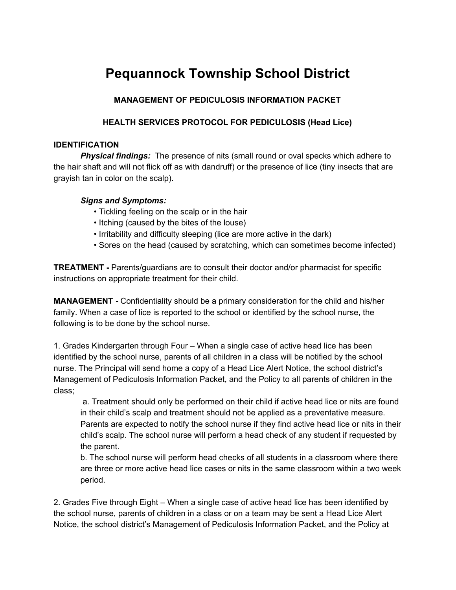# **Pequannock Township School District**

## **MANAGEMENT OF PEDICULOSIS INFORMATION PACKET**

## **HEALTH SERVICES PROTOCOL FOR PEDICULOSIS (Head Lice)**

### **IDENTIFICATION**

**Physical findings:** The presence of nits (small round or oval specks which adhere to the hair shaft and will not flick off as with dandruff) or the presence of lice (tiny insects that are grayish tan in color on the scalp).

#### *Signs and Symptoms:*

- Tickling feeling on the scalp or in the hair
- Itching (caused by the bites of the louse)
- Irritability and difficulty sleeping (lice are more active in the dark)
- Sores on the head (caused by scratching, which can sometimes become infected)

**TREATMENT -** Parents/guardians are to consult their doctor and/or pharmacist for specific instructions on appropriate treatment for their child.

**MANAGEMENT -** Confidentiality should be a primary consideration for the child and his/her family. When a case of lice is reported to the school or identified by the school nurse, the following is to be done by the school nurse.

1. Grades Kindergarten through Four – When a single case of active head lice has been identified by the school nurse, parents of all children in a class will be notified by the school nurse. The Principal will send home a copy of a Head Lice Alert Notice, the school district's Management of Pediculosis Information Packet, and the Policy to all parents of children in the class;

 a. Treatment should only be performed on their child if active head lice or nits are found in their child's scalp and treatment should not be applied as a preventative measure. Parents are expected to notify the school nurse if they find active head lice or nits in their child's scalp. The school nurse will perform a head check of any student if requested by the parent.

b. The school nurse will perform head checks of all students in a classroom where there are three or more active head lice cases or nits in the same classroom within a two week period.

2. Grades Five through Eight – When a single case of active head lice has been identified by the school nurse, parents of children in a class or on a team may be sent a Head Lice Alert Notice, the school district's Management of Pediculosis Information Packet, and the Policy at